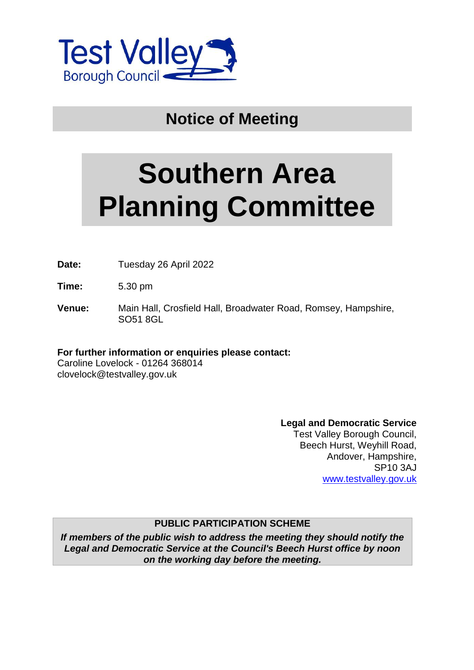

# **Notice of Meeting**

# **Southern Area Planning Committee**

**Date:** Tuesday 26 April 2022

**Time:** 5.30 pm

**Venue:** Main Hall, Crosfield Hall, Broadwater Road, Romsey, Hampshire, SO51 8GL

**For further information or enquiries please contact:** Caroline Lovelock - 01264 368014 clovelock@testvalley.gov.uk

**Legal and Democratic Service**

Test Valley Borough Council, Beech Hurst, Weyhill Road, Andover, Hampshire, SP10 3AJ [www.testvalley.gov.uk](http://www.testvalley.gov.uk/)

#### **PUBLIC PARTICIPATION SCHEME**

*If members of the public wish to address the meeting they should notify the Legal and Democratic Service at the Council's Beech Hurst office by noon on the working day before the meeting.*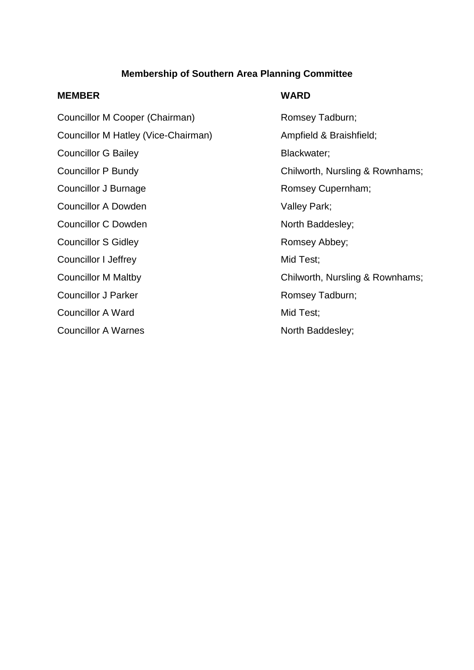## **Membership of Southern Area Planning Committee**

#### **MEMBER WARD**

Councillor M Cooper (Chairman) Romsey Tadburn; Councillor M Hatley (Vice-Chairman) Ampfield & Braishfield; Councillor G Bailey **Blackwater**; Councillor J Burnage **Romsey Cupernham**; Councillor A Dowden Valley Park; Councillor C Dowden North Baddesley; Councillor S Gidley **Romsey Abbey**; Councillor I Jeffrey Mid Test; Councillor J Parker **Romsey Tadburn**; Councillor A Ward Mid Test; Councillor A Warnes North Baddesley;

Councillor P Bundy Councillor P Bundy Chilworth, Nursling & Rownhams; Councillor M Maltby Councillor M Maltby Chilworth, Nursling & Rownhams;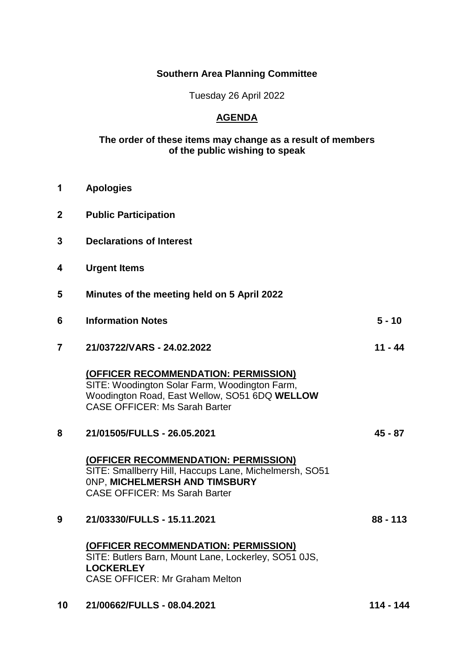## **Southern Area Planning Committee**

Tuesday 26 April 2022

# **AGENDA**

#### **The order of these items may change as a result of members of the public wishing to speak**

| 1                       | <b>Apologies</b>                                                                                                                                                               |            |
|-------------------------|--------------------------------------------------------------------------------------------------------------------------------------------------------------------------------|------------|
| $\boldsymbol{2}$        | <b>Public Participation</b>                                                                                                                                                    |            |
| 3                       | <b>Declarations of Interest</b>                                                                                                                                                |            |
| 4                       | <b>Urgent Items</b>                                                                                                                                                            |            |
| 5                       | Minutes of the meeting held on 5 April 2022                                                                                                                                    |            |
| 6                       | <b>Information Notes</b>                                                                                                                                                       | $5 - 10$   |
| $\overline{\mathbf{7}}$ | 21/03722/VARS - 24.02.2022                                                                                                                                                     | 11 - 44    |
|                         | (OFFICER RECOMMENDATION: PERMISSION)<br>SITE: Woodington Solar Farm, Woodington Farm,<br>Woodington Road, East Wellow, SO51 6DQ WELLOW<br><b>CASE OFFICER: Ms Sarah Barter</b> |            |
| 8                       | 21/01505/FULLS - 26.05.2021                                                                                                                                                    | $45 - 87$  |
|                         | (OFFICER RECOMMENDATION: PERMISSION)<br>SITE: Smallberry Hill, Haccups Lane, Michelmersh, SO51<br>ONP. MICHELMERSH AND TIMSBURY<br><b>CASE OFFICER: Ms Sarah Barter</b>        |            |
| 9                       | 21/03330/FULLS - 15.11.2021                                                                                                                                                    | $88 - 113$ |
|                         | (OFFICER RECOMMENDATION: PERMISSION)<br>SITE: Butlers Barn, Mount Lane, Lockerley, SO51 0JS,<br><b>LOCKERLEY</b><br><b>CASE OFFICER: Mr Graham Melton</b>                      |            |
|                         |                                                                                                                                                                                |            |

**10 21/00662/FULLS - 08.04.2021 114 - 144**